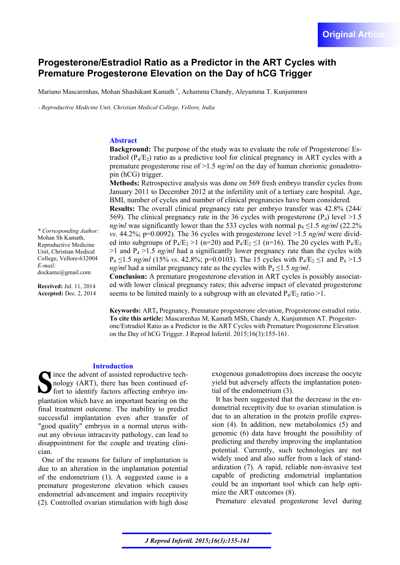# **Progesterone/Estradiol Ratio as a Predictor in the ART Cycles with Premature Progesterone Elevation on the Day of hCG Trigger**

Mariano Mascarenhas, Mohan Shashikant Kamath , Achamma Chandy, Aleyamma T. Kunjummen

*- Reproductive Medicine Unit, Christian Medical College, Vellore, India* 

## **Abstract**

**Background:** The purpose of the study was to evaluate the role of Progesterone/ Estradiol  $(P_4/E_2)$  ratio as a predictive tool for clinical pregnancy in ART cycles with a premature progesterone rise of  $>1.5$  *ng/ml* on the day of human chorionic gonadotropin (hCG) trigger.

**Methods:** Retrospective analysis was done on 569 fresh embryo transfer cycles from January 2011 to December 2012 at the infertility unit of a tertiary care hospital. Age, BMI, number of cycles and number of clinical pregnancies have been considered.

**Results:** The overall clinical pregnancy rate per embryo transfer was 42.8% (244/ 569). The clinical pregnancy rate in the 36 cycles with progesterone  $(P_4)$  level  $>1.5$ *ng/ml* was significantly lower than the 533 cycles with normal  $p_4 \le 1.5$  *ng/ml* (22.2%) *vs*. 44.2%; p=0.0092). The 36 cycles with progesterone level >1.5 *ng/ml* were divided into subgroups of  $P_4/E_2 > 1$  (n=20) and  $P_4/E_2 \le 1$  (n=16). The 20 cycles with  $P_4/E_2$  $>1$  and P<sub>4</sub> $>1.5$  *ng/ml* had a significantly lower pregnancy rate than the cycles with  $P_4 \le 1.5$  *ng/ml* (15% *vs.* 42.8%; p=0.0103). The 15 cycles with  $P_4/E_2 \le 1$  and  $P_4 > 1.5$ *ng/ml* had a similar pregnancy rate as the cycles with  $P_4 \le 1.5$  *ng/ml*.

**Conclusion:** A premature progesterone elevation in ART cycles is possibly associated with lower clinical pregnancy rates; this adverse impact of elevated progesterone seems to be limited mainly to a subgroup with an elevated  $P_4/E_2$  ratio  $>1$ .

**Keywords:** ART**,** Pregnancy, Premature progesterone elevation, Progesterone estradiol ratio. **To cite this article:** Mascarenhas M, Kamath MSh, Chandy A, Kunjummen AT. Progesterone/Estradiol Ratio as a Predictor in the ART Cycles with Premature Progesterone Elevation on the Day of hCG Trigger. J Reprod Infertil. 2015;16(3):155-161.

## **Introduction**

ince the advent of assisted reproductive technology (ART), there has been continued effort to identify factors affecting embryo implantation which have an important bearing on the final treatment outcome. The inability to predict successful implantation even after transfer of "good quality" embryos in a normal uterus without any obvious intracavity pathology, can lead to disappointment for the couple and treating clinician.

One of the reasons for failure of implantation is due to an alteration in the implantation potential of the endometrium (1). A suggested cause is a premature progesterone elevation which causes endometrial advancement and impairs receptivity (2). Controlled ovarian stimulation with high dose

exogenous gonadotropins does increase the oocyte yield but adversely affects the implantation potential of the endometrium (3).

It has been suggested that the decrease in the endometrial receptivity due to ovarian stimulation is due to an alteration in the protein profile expression (4). In addition, new metabolomics (5) and genomic (6) data have brought the possibility of predicting and thereby improving the implantation potential. Currently, such technologies are not widely used and also suffer from a lack of standardization (7). A rapid, reliable non-invasive test capable of predicting endometrial implantation could be an important tool which can help optimize the ART outcomes (8).

Premature elevated progesterone level during

*\* Corresponding Author:*  Mohan Sh Kamath, Reproductive Medicine Unit, Christian Medical College, Vellore-632004 *E-mail:*  dockamz@gmail.com

**Received:** Jul. 11, 2014 **Accepted:** Dec. 2, 2014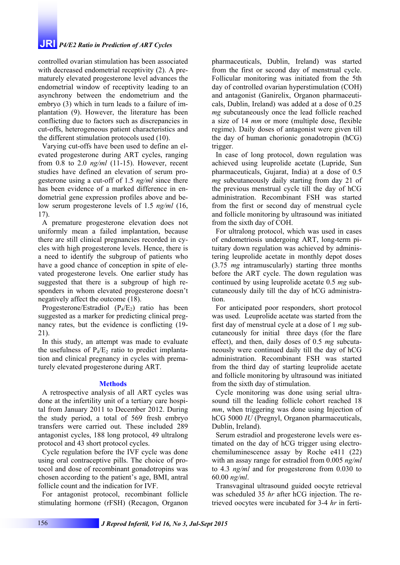## **JRI** *P4/E2 Ratio in Prediction of ART Cycles*

controlled ovarian stimulation has been associated with decreased endometrial receptivity (2). A prematurely elevated progesterone level advances the endometrial window of receptivity leading to an asynchrony between the endometrium and the embryo (3) which in turn leads to a failure of implantation (9). However, the literature has been conflicting due to factors such as discrepancies in cut-offs, heterogeneous patient characteristics and the different stimulation protocols used (10).

Varying cut-offs have been used to define an elevated progesterone during ART cycles, ranging from 0.8 to 2.0 *ng/ml* (11-15). However, recent studies have defined an elevation of serum progesterone using a cut-off of 1.5 *ng/ml* since there has been evidence of a marked difference in endometrial gene expression profiles above and below serum progesterone levels of 1.5 *ng/ml* (16, 17).

A premature progesterone elevation does not uniformly mean a failed implantation, because there are still clinical pregnancies recorded in cycles with high progesterone levels. Hence, there is a need to identify the subgroup of patients who have a good chance of conception in spite of elevated progesterone levels. One earlier study has suggested that there is a subgroup of high responders in whom elevated progesterone doesn't negatively affect the outcome (18).

Progesterone/Estradiol  $(P_4/E_2)$  ratio has been suggested as a marker for predicting clinical pregnancy rates, but the evidence is conflicting (19- 21).

In this study, an attempt was made to evaluate the usefulness of  $P_4/E_2$  ratio to predict implantation and clinical pregnancy in cycles with prematurely elevated progesterone during ART.

#### **Methods**

A retrospective analysis of all ART cycles was done at the infertility unit of a tertiary care hospital from January 2011 to December 2012. During the study period, a total of 569 fresh embryo transfers were carried out. These included 289 antagonist cycles, 188 long protocol, 49 ultralong protocol and 43 short protocol cycles.

Cycle regulation before the IVF cycle was done using oral contraceptive pills. The choice of protocol and dose of recombinant gonadotropins was chosen according to the patient's age, BMI, antral follicle count and the indication for IVF.

For antagonist protocol, recombinant follicle stimulating hormone (rFSH) (Recagon, Organon pharmaceuticals, Dublin, Ireland) was started from the first or second day of menstrual cycle. Follicular monitoring was initiated from the 5th day of controlled ovarian hyperstimulation (COH) and antagonist (Ganirelix, Organon pharmaceuticals, Dublin, Ireland) was added at a dose of 0.25 *mg* subcutaneously once the lead follicle reached a size of 14 *mm* or more (multiple dose, flexible regime). Daily doses of antagonist were given till the day of human chorionic gonadotropin (hCG) trigger.

In case of long protocol, down regulation was achieved using leuprolide acetate (Lupride, Sun pharmaceuticals, Gujarat, India) at a dose of 0.5 *mg* subcutaneously daily starting from day 21 of the previous menstrual cycle till the day of hCG administration. Recombinant FSH was started from the first or second day of menstrual cycle and follicle monitoring by ultrasound was initiated from the sixth day of COH.

For ultralong protocol, which was used in cases of endometriosis undergoing ART, long-term pituitary down regulation was achieved by administering leuprolide acetate in monthly depot doses (3.75 *mg* intramuscularly) starting three months before the ART cycle. The down regulation was continued by using leuprolide acetate 0.5 *mg* subcutaneously daily till the day of hCG administration.

For anticipated poor responders, short protocol was used. Leuprolide acetate was started from the first day of menstrual cycle at a dose of 1 *mg* subcutaneously for initial three days (for the flare effect), and then, daily doses of 0.5 *mg* subcutaneously were continued daily till the day of hCG administration. Recombinant FSH was started from the third day of starting leuprolide acetate and follicle monitoring by ultrasound was initiated from the sixth day of stimulation.

Cycle monitoring was done using serial ultrasound till the leading follicle cohort reached 18 *mm*, when triggering was done using Injection of hCG 5000 *IU* (Pregnyl, Organon pharmaceuticals, Dublin, Ireland).

Serum estradiol and progesterone levels were estimated on the day of hCG trigger using electrochemiluminescence assay by Roche e411 (22) with an assay range for estradiol from 0.005 *ng/ml* to 4.3 *ng/ml* and for progesterone from 0.030 to 60.00 *ng/ml*.

Transvaginal ultrasound guided oocyte retrieval was scheduled 35 *hr* after hCG injection. The retrieved oocytes were incubated for 3-4 *hr* in ferti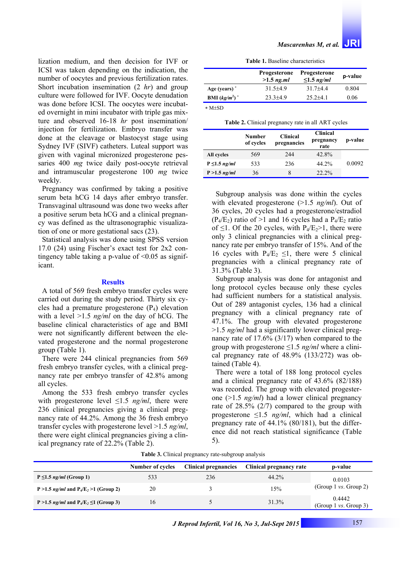lization medium, and then decision for IVF or ICSI was taken depending on the indication, the number of oocytes and previous fertilization rates. Short incubation insemination (2 *hr*) and group culture were followed for IVF. Oocyte denudation was done before ICSI. The oocytes were incubated overnight in mini incubator with triple gas mixture and observed 16-18 *hr* post insemination/ injection for fertilization. Embryo transfer was done at the cleavage or blastocyst stage using Sydney IVF (SIVF) catheters. Luteal support was given with vaginal micronized progesterone pessaries 400 *mg* twice daily post-oocyte retrieval and intramuscular progesterone 100 *mg* twice weekly.

Pregnancy was confirmed by taking a positive serum beta hCG 14 days after embryo transfer. Transvaginal ultrasound was done two weeks after a positive serum beta hCG and a clinical pregnancy was defined as the ultrasonographic visualization of one or more gestational sacs (23).

Statistical analysis was done using SPSS version 17.0 (24) using Fischer's exact test for 2x2 contingency table taking a p-value of  $\leq 0.05$  as significant.

### **Results**

A total of 569 fresh embryo transfer cycles were carried out during the study period. Thirty six cycles had a premature progesterone  $(P_4)$  elevation with a level >1.5 *ng/ml* on the day of hCG. The baseline clinical characteristics of age and BMI were not significantly different between the elevated progesterone and the normal progesterone group (Table 1).

There were 244 clinical pregnancies from 569 fresh embryo transfer cycles, with a clinical pregnancy rate per embryo transfer of 42.8% among all cycles.

Among the 533 fresh embryo transfer cycles with progesterone level ≤1.5 *ng/ml*, there were 236 clinical pregnancies giving a clinical pregnancy rate of 44.2%. Among the 36 fresh embryo transfer cycles with progesterone level >1.5 *ng/ml*, there were eight clinical pregnancies giving a clinical pregnancy rate of 22.2% (Table 2).

|                  | <b>Progesterone</b><br>$>1.5$ ng.ml | <b>Progesterone</b><br>$\leq 1.5$ ng/ml | p-value |
|------------------|-------------------------------------|-----------------------------------------|---------|
| Age (years) $*$  | $31.5 + 4.9$                        | $317+44$                                | 0.804   |
| BMI $(kg/m^2)^*$ | $23,3+4,9$                          | $252+41$                                | 0.06    |

 $*$  M $\pm$ SD

**Table 2.** Clinical pregnancy rate in all ART cycles

|                    | Number<br>of cycles | <b>Clinical</b><br>pregnancies | <b>Clinical</b><br>pregnancy<br>rate | p-value |
|--------------------|---------------------|--------------------------------|--------------------------------------|---------|
| All cycles         | 569                 | 244                            | 42.8%                                |         |
| $P \leq 1.5$ ng/ml | 533                 | 236                            | 44.2%                                | 0.0092  |
| $P > 1.5$ ng/ml    | 36                  | 8                              | 22.2%                                |         |

Subgroup analysis was done within the cycles with elevated progesterone (>1.5 *ng/ml*). Out of 36 cycles, 20 cycles had a progesterone/estradiol  $(P_4/E_2)$  ratio of >1 and 16 cycles had a  $P_4/E_2$  ratio of  $\leq$ 1. Of the 20 cycles, with P<sub>4</sub>/E<sub>2</sub>>1, there were only 3 clinical pregnancies with a clinical pregnancy rate per embryo transfer of 15%. And of the 16 cycles with  $P_4/E_2 \le 1$ , there were 5 clinical pregnancies with a clinical pregnancy rate of 31.3% (Table 3).

Subgroup analysis was done for antagonist and long protocol cycles because only these cycles had sufficient numbers for a statistical analysis. Out of 289 antagonist cycles, 136 had a clinical pregnancy with a clinical pregnancy rate of 47.1%. The group with elevated progesterone >1.5 *ng/ml* had a significantly lower clinical pregnancy rate of 17.6% (3/17) when compared to the group with progesterone ≤1.5 *ng/ml* where a clinical pregnancy rate of 48.9% (133/272) was obtained (Table 4).

There were a total of 188 long protocol cycles and a clinical pregnancy rate of 43.6% (82/188) was recorded. The group with elevated progesterone (>1.5 *ng/ml*) had a lower clinical pregnancy rate of 28.5% (2/7) compared to the group with progesterone  $\leq 1.5$  *ng/ml*, which had a clinical pregnancy rate of 44.1% (80/181), but the difference did not reach statistical significance (Table 5).

|  | Table 3. Clinical pregnancy rate-subgroup analysis |  |
|--|----------------------------------------------------|--|
|--|----------------------------------------------------|--|

|                                                  | Number of cycles | <b>Clinical pregnancies</b> | Clinical pregnancy rate | p-value                                    |
|--------------------------------------------------|------------------|-----------------------------|-------------------------|--------------------------------------------|
| $P \leq 1.5$ ng/ml (Group 1)                     | 533              | 236                         | $44.2\%$                | 0.0103                                     |
| P > 1.5 <i>ng/ml</i> and $P_4/E_2$ > 1 (Group 2) | 20               |                             | 15%                     | (Group 1 $\mathit{vs.}$ Group 2)           |
| P > 1.5 ng/ml and $P_4/E_2 \le 1$ (Group 3)      | 16               |                             | 31.3%                   | 0.4442<br>(Group 1 $\mathit{vs.}$ Group 3) |

 *J Reprod Infertil, Vol 16, No 3, Jul-Sept 2015* 157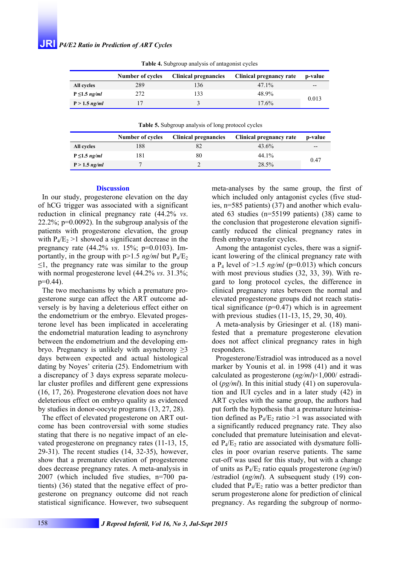|                    | Number of cycles | <b>Clinical pregnancies</b> | Clinical pregnancy rate | p-value |
|--------------------|------------------|-----------------------------|-------------------------|---------|
| All cycles         | 289              | 136                         | $47.1\%$                | $- -$   |
| $P \leq 1.5$ ng/ml | 272              | 133                         | 48.9%                   |         |
| $P > 1.5$ ng/ml    |                  |                             | 17.6%                   | 0.013   |

**Table 4.** Subgroup analysis of antagonist cycles

**Table 5.** Subgroup analysis of long protocol cycles

|                    | Number of cycles | <b>Clinical pregnancies</b> | Clinical pregnancy rate | p-value |
|--------------------|------------------|-----------------------------|-------------------------|---------|
| All cycles         | 188              |                             | 43.6%                   | $- -$   |
| $P \leq 1.5$ ng/ml | 181              | 80                          | 44.1%                   | 0.47    |
| $P > 1.5$ ng/ml    |                  |                             | 28.5%                   |         |

#### **Discussion**

In our study, progesterone elevation on the day of hCG trigger was associated with a significant reduction in clinical pregnancy rate (44.2% *vs*. 22.2%; p=0.0092). In the subgroup analysis of the patients with progesterone elevation, the group with  $P_4/E_2 > 1$  showed a significant decrease in the pregnancy rate (44.2% *vs*. 15%; p=0.0103). Importantly, in the group with  $p>1.5$  *ng/ml* but  $P_4/E_2$  $\leq$ 1, the pregnancy rate was similar to the group with normal progesterone level (44.2% *vs*. 31.3%;  $p=0.44$ ).

The two mechanisms by which a premature progesterone surge can affect the ART outcome adversely is by having a deleterious effect either on the endometrium or the embryo. Elevated progesterone level has been implicated in accelerating the endometrial maturation leading to asynchrony between the endometrium and the developing embryo. Pregnancy is unlikely with asynchrony  $\geq 3$ days between expected and actual histological dating by Noyes' criteria (25). Endometrium with a discrepancy of 3 days express separate molecular cluster profiles and different gene expressions (16, 17, 26). Progesterone elevation does not have deleterious effect on embryo quality as evidenced by studies in donor-oocyte programs (13, 27, 28).

The effect of elevated progesterone on ART outcome has been controversial with some studies stating that there is no negative impact of an elevated progesterone on pregnancy rates (11-13, 15, 29-31). The recent studies (14, 32-35), however, show that a premature elevation of progesterone does decrease pregnancy rates. A meta-analysis in 2007 (which included five studies, n=700 patients) (36) stated that the negative effect of progesterone on pregnancy outcome did not reach statistical significance. However, two subsequent meta-analyses by the same group, the first of which included only antagonist cycles (five studies, n=585 patients) (37) and another which evaluated 63 studies (n=55199 patients) (38) came to the conclusion that progesterone elevation significantly reduced the clinical pregnancy rates in fresh embryo transfer cycles.

Among the antagonist cycles, there was a significant lowering of the clinical pregnancy rate with a  $P_4$  level of  $>1.5$  *ng/ml* (p=0.013) which concurs with most previous studies (32, 33, 39). With regard to long protocol cycles, the difference in clinical pregnancy rates between the normal and elevated progesterone groups did not reach statistical significance  $(p=0.47)$  which is in agreement with previous studies (11-13, 15, 29, 30, 40).

A meta-analysis by Griesinger et al. (18) manifested that a premature progesterone elevation does not affect clinical pregnancy rates in high responders.

Progesterone/Estradiol was introduced as a novel marker by Younis et al. in 1998 (41) and it was calculated as progesterone (*ng/ml*)×1,000/ estradiol (*pg/ml*). In this initial study (41) on superovulation and IUI cycles and in a later study (42) in ART cycles with the same group, the authors had put forth the hypothesis that a premature luteinisation defined as  $P_4/E_2$  ratio >1 was associated with a significantly reduced pregnancy rate. They also concluded that premature luteinisation and elevated  $P_4/E_2$  ratio are associated with dysmature follicles in poor ovarian reserve patients. The same cut-off was used for this study, but with a change of units as  $P_4/E_2$  ratio equals progesterone (*ng/ml*) /estradiol (*ng/ml*). A subsequent study (19) concluded that  $P_4/E_2$  ratio was a better predictor than serum progesterone alone for prediction of clinical pregnancy. As regarding the subgroup of normo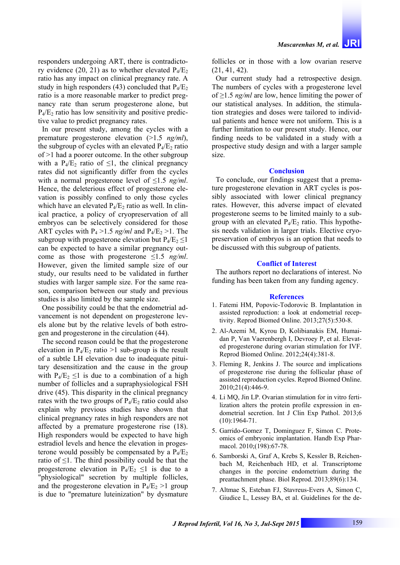responders undergoing ART, there is contradictory evidence (20, 21) as to whether elevated  $P_4/E_2$ ratio has any impact on clinical pregnancy rate. A study in high responders (43) concluded that  $P_4/E_2$ ratio is a more reasonable marker to predict pregnancy rate than serum progesterone alone, but  $P_4$ / $E_2$  ratio has low sensitivity and positive predictive value to predict pregnancy rates.

In our present study, among the cycles with a premature progesterone elevation (>1.5 *ng/ml*), the subgroup of cycles with an elevated  $P_4/E_2$  ratio of >1 had a poorer outcome. In the other subgroup with a P<sub>4</sub>/E<sub>2</sub> ratio of  $\leq$ 1, the clinical pregnancy rates did not significantly differ from the cycles with a normal progesterone level of ≤1.5 *ng/ml*. Hence, the deleterious effect of progesterone elevation is possibly confined to only those cycles which have an elevated  $P_4/E_2$  ratio as well. In clinical practice, a policy of cryopreservation of all embryos can be selectively considered for those ART cycles with  $P_4 > 1.5$  *ng/ml* and  $P_4$ /E<sub>2</sub>  $> 1$ . The subgroup with progesterone elevation but  $P_4/E_2 \leq 1$ can be expected to have a similar pregnancy outcome as those with progesterone ≤1.5 *ng/ml*. However, given the limited sample size of our study, our results need to be validated in further studies with larger sample size. For the same reason, comparison between our study and previous studies is also limited by the sample size.

One possibility could be that the endometrial advancement is not dependent on progesterone levels alone but by the relative levels of both estrogen and progesterone in the circulation (44).

The second reason could be that the progesterone elevation in  $P_4/E_2$  ratio >1 sub-group is the result of a subtle LH elevation due to inadequate pituitary desensitization and the cause in the group with  $P_4/E_2 \leq 1$  is due to a combination of a high number of follicles and a supraphysiological FSH drive (45). This disparity in the clinical pregnancy rates with the two groups of  $P_4/E_2$  ratio could also explain why previous studies have shown that clinical pregnancy rates in high responders are not affected by a premature progesterone rise (18). High responders would be expected to have high estradiol levels and hence the elevation in progesterone would possibly be compensated by a  $P_4/E_2$ ratio of ≤1. The third possibility could be that the progesterone elevation in  $P_4/E_2 \le 1$  is due to a "physiological" secretion by multiple follicles, and the progesterone elevation in  $P_4/E_2 > 1$  group is due to "premature luteinization" by dysmature

follicles or in those with a low ovarian reserve (21, 41, 42).

Our current study had a retrospective design. The numbers of cycles with a progesterone level of ≥1.5 *ng/ml* are low, hence limiting the power of our statistical analyses. In addition, the stimulation strategies and doses were tailored to individual patients and hence were not uniform. This is a further limitation to our present study. Hence, our finding needs to be validated in a study with a prospective study design and with a larger sample size.

#### **Conclusion**

To conclude, our findings suggest that a premature progesterone elevation in ART cycles is possibly associated with lower clinical pregnancy rates. However, this adverse impact of elevated progesterone seems to be limited mainly to a subgroup with an elevated  $P_4/E_2$  ratio. This hypothesis needs validation in larger trials. Elective cryopreservation of embryos is an option that needs to be discussed with this subgroup of patients.

### **Conflict of Interest**

The authors report no declarations of interest. No funding has been taken from any funding agency.

#### **References**

- 1. Fatemi HM, Popovic-Todorovic B. Implantation in assisted reproduction: a look at endometrial receptivity. Reprod Biomed Online. 2013;27(5):530-8.
- 2. Al-Azemi M, Kyrou D, Kolibianakis EM, Humaidan P, Van Vaerenbergh I, Devroey P, et al. Elevated progesterone during ovarian stimulation for IVF. Reprod Biomed Online. 2012;24(4):381-8.
- 3. Fleming R, Jenkins J. The source and implications of progesterone rise during the follicular phase of assisted reproduction cycles. Reprod Biomed Online. 2010;21(4):446-9.
- 4. Li MQ, Jin LP. Ovarian stimulation for in vitro fertilization alters the protein profile expression in endometrial secretion. Int J Clin Exp Pathol. 2013;6 (10):1964-71.
- 5. Garrido-Gomez T, Dominguez F, Simon C. Proteomics of embryonic implantation. Handb Exp Pharmacol. 2010;(198):67-78.
- 6. Samborski A, Graf A, Krebs S, Kessler B, Reichenbach M, Reichenbach HD, et al. Transcriptome changes in the porcine endometrium during the preattachment phase. Biol Reprod. 2013;89(6):134.
- 7. Altmae S, Esteban FJ, Stavreus-Evers A, Simon C, Giudice L, Lessey BA, et al. Guidelines for the de-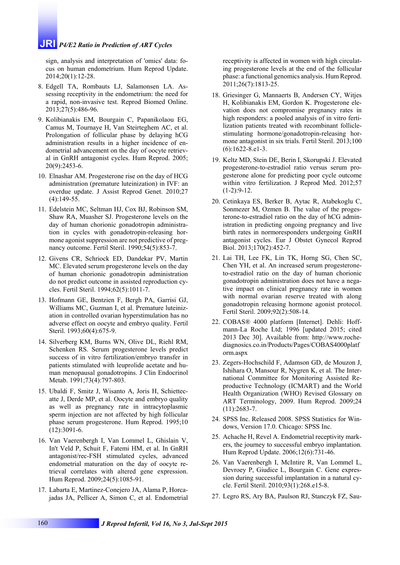## **JRI** *P4/E2 Ratio in Prediction of ART Cycles*

sign, analysis and interpretation of 'omics' data: focus on human endometrium. Hum Reprod Update. 2014;20(1):12-28.

- 8. Edgell TA, Rombauts LJ, Salamonsen LA. Assessing receptivity in the endometrium: the need for a rapid, non-invasive test. Reprod Biomed Online. 2013;27(5):486-96.
- 9. Kolibianakis EM, Bourgain C, Papanikolaou EG, Camus M, Tournaye H, Van Steirteghem AC, et al. Prolongation of follicular phase by delaying hCG administration results in a higher incidence of endometrial advancement on the day of oocyte retrieval in GnRH antagonist cycles. Hum Reprod. 2005; 20(9):2453-6.
- 10. Elnashar AM. Progesterone rise on the day of HCG administration (premature luteinization) in IVF: an overdue update. J Assist Reprod Genet. 2010;27  $(4):149-55.$
- 11. Edelstein MC, Seltman HJ, Cox BJ, Robinson SM, Shaw RA, Muasher SJ. Progesterone levels on the day of human chorionic gonadotropin administration in cycles with gonadotropin-releasing hormone agonist suppression are not predictive of pregnancy outcome. Fertil Steril. 1990;54(5):853-7.
- 12. Givens CR, Schriock ED, Dandekar PV, Martin MC. Elevated serum progesterone levels on the day of human chorionic gonadotropin administration do not predict outcome in assisted reproduction cycles. Fertil Steril. 1994;62(5):1011-7.
- 13. Hofmann GE, Bentzien F, Bergh PA, Garrisi GJ, Williams MC, Guzman I, et al. Premature luteinization in controlled ovarian hyperstimulation has no adverse effect on oocyte and embryo quality. Fertil Steril. 1993;60(4):675-9.
- 14. Silverberg KM, Burns WN, Olive DL, Riehl RM, Schenken RS. Serum progesterone levels predict success of in vitro fertilization/embryo transfer in patients stimulated with leuprolide acetate and human menopausal gonadotropins. J Clin Endocrinol Metab. 1991;73(4):797-803.
- 15. Ubaldi F, Smitz J, Wisanto A, Joris H, Schiettecatte J, Derde MP, et al. Oocyte and embryo quality as well as pregnancy rate in intracytoplasmic sperm injection are not affected by high follicular phase serum progesterone. Hum Reprod. 1995;10 (12):3091-6.
- 16. Van Vaerenbergh I, Van Lommel L, Ghislain V, In't Veld P, Schuit F, Fatemi HM, et al. In GnRH antagonist/rec-FSH stimulated cycles, advanced endometrial maturation on the day of oocyte retrieval correlates with altered gene expression. Hum Reprod. 2009;24(5):1085-91.
- 17. Labarta E, Martinez-Conejero JA, Alama P, Horcajadas JA, Pellicer A, Simon C, et al. Endometrial

receptivity is affected in women with high circulating progesterone levels at the end of the follicular phase: a functional genomics analysis. Hum Reprod. 2011;26(7):1813-25.

- 18. Griesinger G, Mannaerts B, Andersen CY, Witjes H, Kolibianakis EM, Gordon K. Progesterone elevation does not compromise pregnancy rates in high responders: a pooled analysis of in vitro fertilization patients treated with recombinant folliclestimulating hormone/gonadotropin-releasing hormone antagonist in six trials. Fertil Steril. 2013;100 (6):1622-8.e1-3.
- 19. Keltz MD, Stein DE, Berin I, Skorupski J. Elevated progesterone-to-estradiol ratio versus serum progesterone alone for predicting poor cycle outcome within vitro fertilization. J Reprod Med. 2012;57  $(1-2):9-12.$
- 20. Cetinkaya ES, Berker B, Aytac R, Atabekoglu C, Sonmezer M, Ozmen B. The value of the progesterone-to-estradiol ratio on the day of hCG administration in predicting ongoing pregnancy and live birth rates in normoresponders undergoing GnRH antagonist cycles. Eur J Obstet Gynecol Reprod Biol. 2013;170(2):452-7.
- 21. Lai TH, Lee FK, Lin TK, Horng SG, Chen SC, Chen YH, et al. An increased serum progesteroneto-estradiol ratio on the day of human chorionic gonadotropin administration does not have a negative impact on clinical pregnancy rate in women with normal ovarian reserve treated with along gonadotropin releasing hormone agonist protocol. Fertil Steril. 2009;92(2):508-14.
- 22. COBAS® 4000 platform [Internet]. Dehli: Hoffmann-La Roche Ltd; 1996 [updated 2015; cited 2013 Dec 30]. Available from: http://www.rochediagnosics.co.in/Products/Pages/COBAS4000platf orm.aspx
- 23. Zegers-Hochschild F, Adamson GD, de Mouzon J, Ishihara O, Mansour R, Nygren K, et al. The International Committee for Monitoring Assisted Reproductive Technology (ICMART) and the World Health Organization (WHO) Revised Glossary on ART Terminology, 2009. Hum Reprod. 2009;24 (11):2683-7.
- 24. SPSS Inc. Released 2008. SPSS Statistics for Windows, Version 17.0. Chicago: SPSS Inc.
- 25. Achache H, Revel A. Endometrial receptivity markers, the journey to successful embryo implantation. Hum Reprod Update. 2006;12(6):731-46.
- 26. Van Vaerenbergh I, McIntire R, Van Lommel L, Devroey P, Giudice L, Bourgain C. Gene expression during successful implantation in a natural cycle. Fertil Steril. 2010;93(1):268.e15-8.
- 27. Legro RS, Ary BA, Paulson RJ, Stanczyk FZ, Sau-